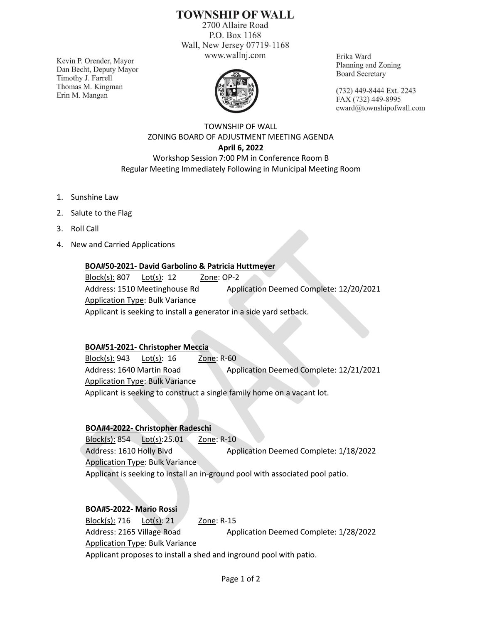# **TOWNSHIP OF WALL**

2700 Allaire Road P.O. Box 1168 Wall, New Jersey 07719-1168 www.wallnj.com

Kevin P. Orender, Mayor Dan Becht, Deputy Mayor Timothy J. Farrell Thomas M. Kingman Erin M. Mangan



Erika Ward Planning and Zoning **Board Secretary** 

(732) 449-8444 Ext. 2243 FAX (732) 449-8995 eward@townshipofwall.com

TOWNSHIP OF WALL ZONING BOARD OF ADJUSTMENT MEETING AGENDA **April 6, 2022** Workshop Session 7:00 PM in Conference Room B

Regular Meeting Immediately Following in Municipal Meeting Room

- 1. Sunshine Law
- 2. Salute to the Flag
- 3. Roll Call
- 4. New and Carried Applications

#### **BOA#50-2021- David Garbolino & Patricia Huttmeyer**

Block(s): 807 Lot(s): 12 Zone: OP-2 Address: 1510 Meetinghouse Rd Application Deemed Complete: 12/20/2021 Application Type: Bulk Variance Applicant is seeking to install a generator in a side yard setback.

#### **BOA#51-2021- Christopher Meccia**

Block(s): 943 Lot(s): 16 Zone: R-60 Address: 1640 Martin Road Application Deemed Complete: 12/21/2021 Application Type: Bulk Variance Applicant is seeking to construct a single family home on a vacant lot.

## **BOA#4-2022- Christopher Radeschi**

Block(s): 854 Lot(s):25.01 Zone: R-10 Address: 1610 Holly Blvd Application Deemed Complete: 1/18/2022 Application Type: Bulk Variance Applicant is seeking to install an in-ground pool with associated pool patio.

## **BOA#5-2022- Mario Rossi**

Block(s): 716 Lot(s): 21 Zone: R-15 Address: 2165 Village Road Application Deemed Complete: 1/28/2022 Application Type: Bulk Variance Applicant proposes to install a shed and inground pool with patio.